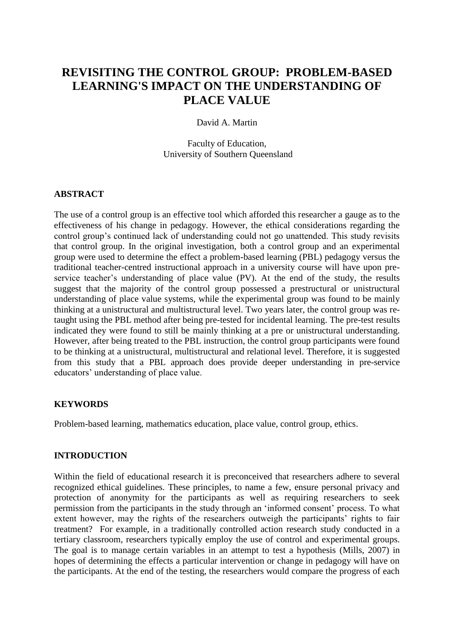# **REVISITING THE CONTROL GROUP: PROBLEM-BASED LEARNING'S IMPACT ON THE UNDERSTANDING OF PLACE VALUE**

## David A. Martin

Faculty of Education, University of Southern Queensland

### **ABSTRACT**

The use of a control group is an effective tool which afforded this researcher a gauge as to the effectiveness of his change in pedagogy. However, the ethical considerations regarding the control group's continued lack of understanding could not go unattended. This study revisits that control group. In the original investigation, both a control group and an experimental group were used to determine the effect a problem-based learning (PBL) pedagogy versus the traditional teacher-centred instructional approach in a university course will have upon preservice teacher's understanding of place value (PV). At the end of the study, the results suggest that the majority of the control group possessed a prestructural or unistructural understanding of place value systems, while the experimental group was found to be mainly thinking at a unistructural and multistructural level. Two years later, the control group was retaught using the PBL method after being pre-tested for incidental learning. The pre-test results indicated they were found to still be mainly thinking at a pre or unistructural understanding. However, after being treated to the PBL instruction, the control group participants were found to be thinking at a unistructural, multistructural and relational level. Therefore, it is suggested from this study that a PBL approach does provide deeper understanding in pre-service educators' understanding of place value.

### **KEYWORDS**

Problem-based learning, mathematics education, place value, control group, ethics.

### **INTRODUCTION**

Within the field of educational research it is preconceived that researchers adhere to several recognized ethical guidelines. These principles, to name a few, ensure personal privacy and protection of anonymity for the participants as well as requiring researchers to seek permission from the participants in the study through an 'informed consent' process. To what extent however, may the rights of the researchers outweigh the participants' rights to fair treatment? For example, in a traditionally controlled action research study conducted in a tertiary classroom, researchers typically employ the use of control and experimental groups. The goal is to manage certain variables in an attempt to test a hypothesis (Mills, 2007) in hopes of determining the effects a particular intervention or change in pedagogy will have on the participants. At the end of the testing, the researchers would compare the progress of each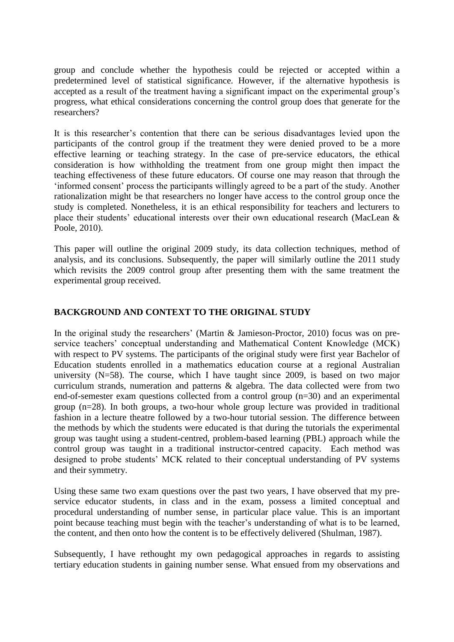group and conclude whether the hypothesis could be rejected or accepted within a predetermined level of statistical significance. However, if the alternative hypothesis is accepted as a result of the treatment having a significant impact on the experimental group's progress, what ethical considerations concerning the control group does that generate for the researchers?

It is this researcher's contention that there can be serious disadvantages levied upon the participants of the control group if the treatment they were denied proved to be a more effective learning or teaching strategy. In the case of pre-service educators, the ethical consideration is how withholding the treatment from one group might then impact the teaching effectiveness of these future educators. Of course one may reason that through the 'informed consent' process the participants willingly agreed to be a part of the study. Another rationalization might be that researchers no longer have access to the control group once the study is completed. Nonetheless, it is an ethical responsibility for teachers and lecturers to place their students' educational interests over their own educational research (MacLean & Poole, 2010).

This paper will outline the original 2009 study, its data collection techniques, method of analysis, and its conclusions. Subsequently, the paper will similarly outline the 2011 study which revisits the 2009 control group after presenting them with the same treatment the experimental group received.

## **BACKGROUND AND CONTEXT TO THE ORIGINAL STUDY**

In the original study the researchers' (Martin & Jamieson-Proctor, 2010) focus was on preservice teachers' conceptual understanding and Mathematical Content Knowledge (MCK) with respect to PV systems. The participants of the original study were first year Bachelor of Education students enrolled in a mathematics education course at a regional Australian university (N=58). The course, which I have taught since 2009, is based on two major curriculum strands, numeration and patterns & algebra. The data collected were from two end-of-semester exam questions collected from a control group (n=30) and an experimental group (n=28). In both groups, a two-hour whole group lecture was provided in traditional fashion in a lecture theatre followed by a two-hour tutorial session. The difference between the methods by which the students were educated is that during the tutorials the experimental group was taught using a student-centred, problem-based learning (PBL) approach while the control group was taught in a traditional instructor-centred capacity. Each method was designed to probe students' MCK related to their conceptual understanding of PV systems and their symmetry.

Using these same two exam questions over the past two years, I have observed that my preservice educator students, in class and in the exam, possess a limited conceptual and procedural understanding of number sense, in particular place value. This is an important point because teaching must begin with the teacher's understanding of what is to be learned, the content, and then onto how the content is to be effectively delivered (Shulman, 1987).

Subsequently, I have rethought my own pedagogical approaches in regards to assisting tertiary education students in gaining number sense. What ensued from my observations and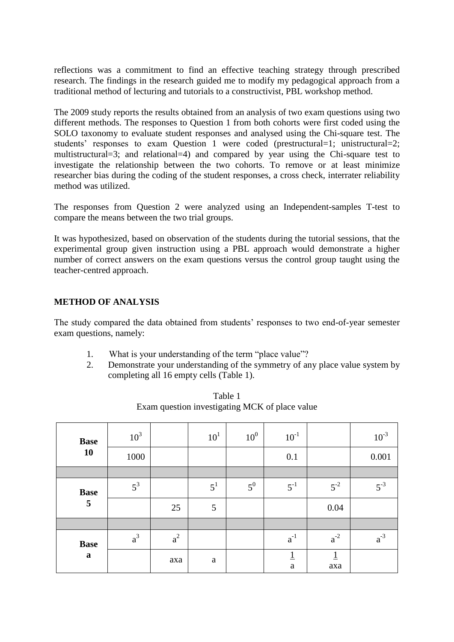reflections was a commitment to find an effective teaching strategy through prescribed research. The findings in the research guided me to modify my pedagogical approach from a traditional method of lecturing and tutorials to a constructivist, PBL workshop method.

The 2009 study reports the results obtained from an analysis of two exam questions using two different methods. The responses to Question 1 from both cohorts were first coded using the SOLO taxonomy to evaluate student responses and analysed using the Chi-square test. The students' responses to exam Question 1 were coded (prestructural=1; unistructural=2; multistructural=3; and relational=4) and compared by year using the Chi-square test to investigate the relationship between the two cohorts. To remove or at least minimize researcher bias during the coding of the student responses, a cross check, interrater reliability method was utilized.

The responses from Question 2 were analyzed using an Independent-samples T-test to compare the means between the two trial groups.

It was hypothesized, based on observation of the students during the tutorial sessions, that the experimental group given instruction using a PBL approach would demonstrate a higher number of correct answers on the exam questions versus the control group taught using the teacher-centred approach.

## **METHOD OF ANALYSIS**

The study compared the data obtained from students' responses to two end-of-year semester exam questions, namely:

- 1. What is your understanding of the term "place value"?
- 2. Demonstrate your understanding of the symmetry of any place value system by completing all 16 empty cells (Table 1).

| <b>Base</b>      | $10^3$ |       | 10 <sup>1</sup> | $10^{0}$ | $10^{-1}$                      |          | $10^{-3}$ |
|------------------|--------|-------|-----------------|----------|--------------------------------|----------|-----------|
| <b>10</b>        | 1000   |       |                 |          | 0.1                            |          | 0.001     |
|                  |        |       |                 |          |                                |          |           |
| <b>Base</b>      | $5^3$  |       | $5^1$           | $5^0$    | $5^{-1}$                       | $5^{-2}$ | $5^{-3}$  |
| 5                |        | 25    | 5               |          |                                | $0.04\,$ |           |
|                  |        |       |                 |          |                                |          |           |
| <b>Base</b><br>a | $a^3$  | $a^2$ |                 |          | $a^{-1}$                       | $a^{-2}$ | $a^{-3}$  |
|                  |        | axa   | a               |          | $\overline{1}$<br>$\mathbf{a}$ | axa      |           |

Table 1 Exam question investigating MCK of place value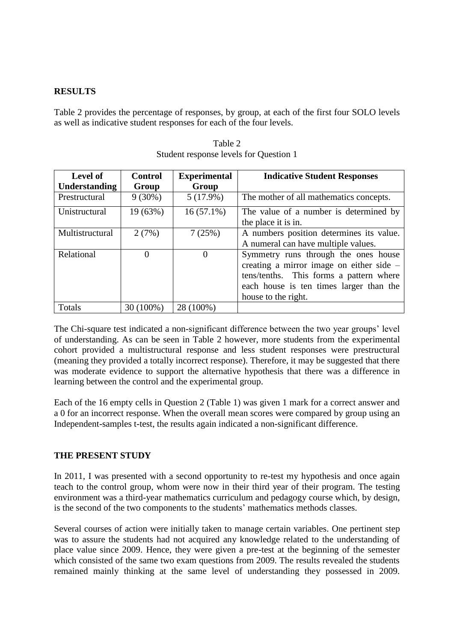## **RESULTS**

Table 2 provides the percentage of responses, by group, at each of the first four SOLO levels as well as indicative student responses for each of the four levels.

| <b>Level of</b>      | <b>Control</b> | <b>Experimental</b> | <b>Indicative Student Responses</b>        |  |  |  |
|----------------------|----------------|---------------------|--------------------------------------------|--|--|--|
| <b>Understanding</b> | Group          | Group               |                                            |  |  |  |
| Prestructural        | $9(30\%)$      | $5(17.9\%)$         | The mother of all mathematics concepts.    |  |  |  |
| Unistructural        | 19(63%)        | $16(57.1\%)$        | The value of a number is determined by     |  |  |  |
|                      |                |                     | the place it is in.                        |  |  |  |
| Multistructural      | 2(7%)          | 7(25%)              | A numbers position determines its value.   |  |  |  |
|                      |                |                     | A numeral can have multiple values.        |  |  |  |
| Relational           | $\Omega$       | $\theta$            | Symmetry runs through the ones house       |  |  |  |
|                      |                |                     | creating a mirror image on either side $-$ |  |  |  |
|                      |                |                     | tens/tenths. This forms a pattern where    |  |  |  |
|                      |                |                     | each house is ten times larger than the    |  |  |  |
|                      |                |                     | house to the right.                        |  |  |  |
| Totals               | 30 (100%)      | 28 (100%)           |                                            |  |  |  |

| Table 2                                |  |  |  |  |  |  |  |
|----------------------------------------|--|--|--|--|--|--|--|
| Student response levels for Question 1 |  |  |  |  |  |  |  |

The Chi-square test indicated a non-significant difference between the two year groups' level of understanding. As can be seen in Table 2 however, more students from the experimental cohort provided a multistructural response and less student responses were prestructural (meaning they provided a totally incorrect response). Therefore, it may be suggested that there was moderate evidence to support the alternative hypothesis that there was a difference in learning between the control and the experimental group.

Each of the 16 empty cells in Question 2 (Table 1) was given 1 mark for a correct answer and a 0 for an incorrect response. When the overall mean scores were compared by group using an Independent-samples t-test, the results again indicated a non-significant difference.

### **THE PRESENT STUDY**

In 2011, I was presented with a second opportunity to re-test my hypothesis and once again teach to the control group, whom were now in their third year of their program. The testing environment was a third-year mathematics curriculum and pedagogy course which, by design, is the second of the two components to the students' mathematics methods classes.

Several courses of action were initially taken to manage certain variables. One pertinent step was to assure the students had not acquired any knowledge related to the understanding of place value since 2009. Hence, they were given a pre-test at the beginning of the semester which consisted of the same two exam questions from 2009. The results revealed the students remained mainly thinking at the same level of understanding they possessed in 2009.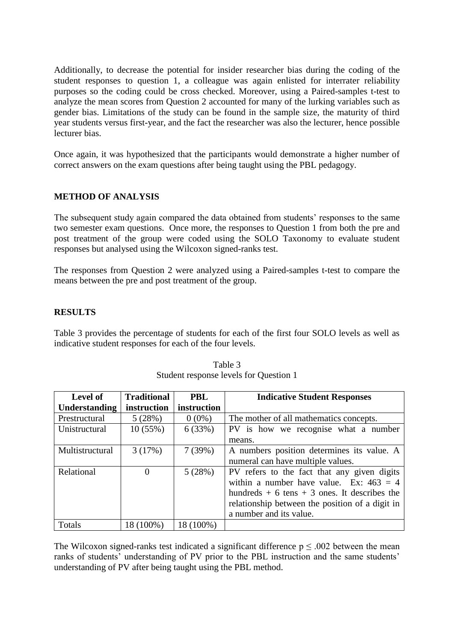Additionally, to decrease the potential for insider researcher bias during the coding of the student responses to question 1, a colleague was again enlisted for interrater reliability purposes so the coding could be cross checked. Moreover, using a Paired-samples t-test to analyze the mean scores from Question 2 accounted for many of the lurking variables such as gender bias. Limitations of the study can be found in the sample size, the maturity of third year students versus first-year, and the fact the researcher was also the lecturer, hence possible lecturer bias.

Once again, it was hypothesized that the participants would demonstrate a higher number of correct answers on the exam questions after being taught using the PBL pedagogy.

## **METHOD OF ANALYSIS**

The subsequent study again compared the data obtained from students' responses to the same two semester exam questions. Once more, the responses to Question 1 from both the pre and post treatment of the group were coded using the SOLO Taxonomy to evaluate student responses but analysed using the Wilcoxon signed-ranks test.

The responses from Question 2 were analyzed using a Paired-samples t*-*test to compare the means between the pre and post treatment of the group.

### **RESULTS**

Table 3 provides the percentage of students for each of the first four SOLO levels as well as indicative student responses for each of the four levels.

| <b>Traditional</b><br><b>Level of</b> |             | <b>PBL</b>  | <b>Indicative Student Responses</b>             |  |  |
|---------------------------------------|-------------|-------------|-------------------------------------------------|--|--|
| <b>Understanding</b>                  | instruction | instruction |                                                 |  |  |
| Prestructural                         | 5(28%)      | $0(0\%)$    | The mother of all mathematics concepts.         |  |  |
| Unistructural                         | 10(55%)     | 6(33%)      | PV is how we recognise what a number            |  |  |
|                                       |             |             | means.                                          |  |  |
| Multistructural                       | 3(17%)      | 7(39%)      | A numbers position determines its value. A      |  |  |
|                                       |             |             | numeral can have multiple values.               |  |  |
| Relational                            | $\Omega$    | 5(28%)      | PV refers to the fact that any given digits     |  |  |
|                                       |             |             | within a number have value. Ex: $463 = 4$       |  |  |
|                                       |             |             | hundreds $+6$ tens $+3$ ones. It describes the  |  |  |
|                                       |             |             | relationship between the position of a digit in |  |  |
|                                       |             |             | a number and its value.                         |  |  |
| Totals                                | 18 (100%)   | 18 (100%)   |                                                 |  |  |

Table 3 Student response levels for Question 1

The Wilcoxon signed-ranks test indicated a significant difference  $p \le 0.002$  between the mean ranks of students' understanding of PV prior to the PBL instruction and the same students' understanding of PV after being taught using the PBL method.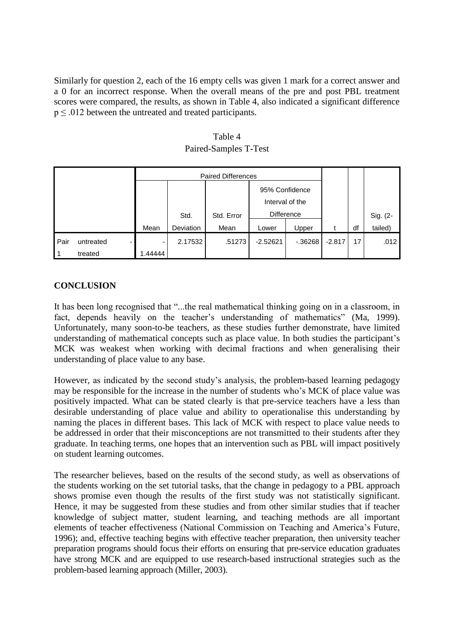Similarly for question 2, each of the 16 empty cells was given 1 mark for a correct answer and a 0 for an incorrect response. When the overall means of the pre and post PBL treatment scores were compared, the results, as shown in Table 4, also indicated a significant difference  $p \leq .012$  between the untreated and treated participants.

| Table 4               |
|-----------------------|
| Paired-Samples T-Test |

|             |           | <b>Paired Differences</b> |           |            |                 |            |          |                 |          |
|-------------|-----------|---------------------------|-----------|------------|-----------------|------------|----------|-----------------|----------|
|             |           |                           |           |            | 95% Confidence  |            |          |                 |          |
|             |           |                           |           |            | Interval of the |            |          |                 |          |
|             |           |                           | Std.      | Std. Error | Difference      |            |          |                 | Sig. (2- |
|             |           | Mean                      | Deviation | Mean       | Lower           | Upper      |          | df              | tailed)  |
| <b>Pair</b> | untreated |                           | 2.17532   | .51273     | $-2.52621$      | $-0.36268$ | $-2.817$ | 17 <sub>1</sub> | .012     |
|             | treated   | .44444                    |           |            |                 |            |          |                 |          |

## **CONCLUSION**

It has been long recognised that "...the real mathematical thinking going on in a classroom, in fact, depends heavily on the teacher's understanding of mathematics" (Ma, 1999). Unfortunately, many soon-to-be teachers, as these studies further demonstrate, have limited understanding of mathematical concepts such as place value. In both studies the participant's MCK was weakest when working with decimal fractions and when generalising their understanding of place value to any base.

However, as indicated by the second study's analysis, the problem-based learning pedagogy may be responsible for the increase in the number of students who's MCK of place value was positively impacted. What can be stated clearly is that pre-service teachers have a less than desirable understanding of place value and ability to operationalise this understanding by naming the places in different bases. This lack of MCK with respect to place value needs to be addressed in order that their misconceptions are not transmitted to their students after they graduate. In teaching terms, one hopes that an intervention such as PBL will impact positively on student learning outcomes.

The researcher believes, based on the results of the second study, as well as observations of the students working on the set tutorial tasks, that the change in pedagogy to a PBL approach shows promise even though the results of the first study was not statistically significant. Hence, it may be suggested from these studies and from other similar studies that if teacher knowledge of subject matter, student learning, and teaching methods are all important elements of teacher effectiveness (National Commission on Teaching and America's Future, 1996); and, effective teaching begins with effective teacher preparation, then university teacher preparation programs should focus their efforts on ensuring that pre-service education graduates have strong MCK and are equipped to use research-based instructional strategies such as the problem-based learning approach (Miller, 2003).